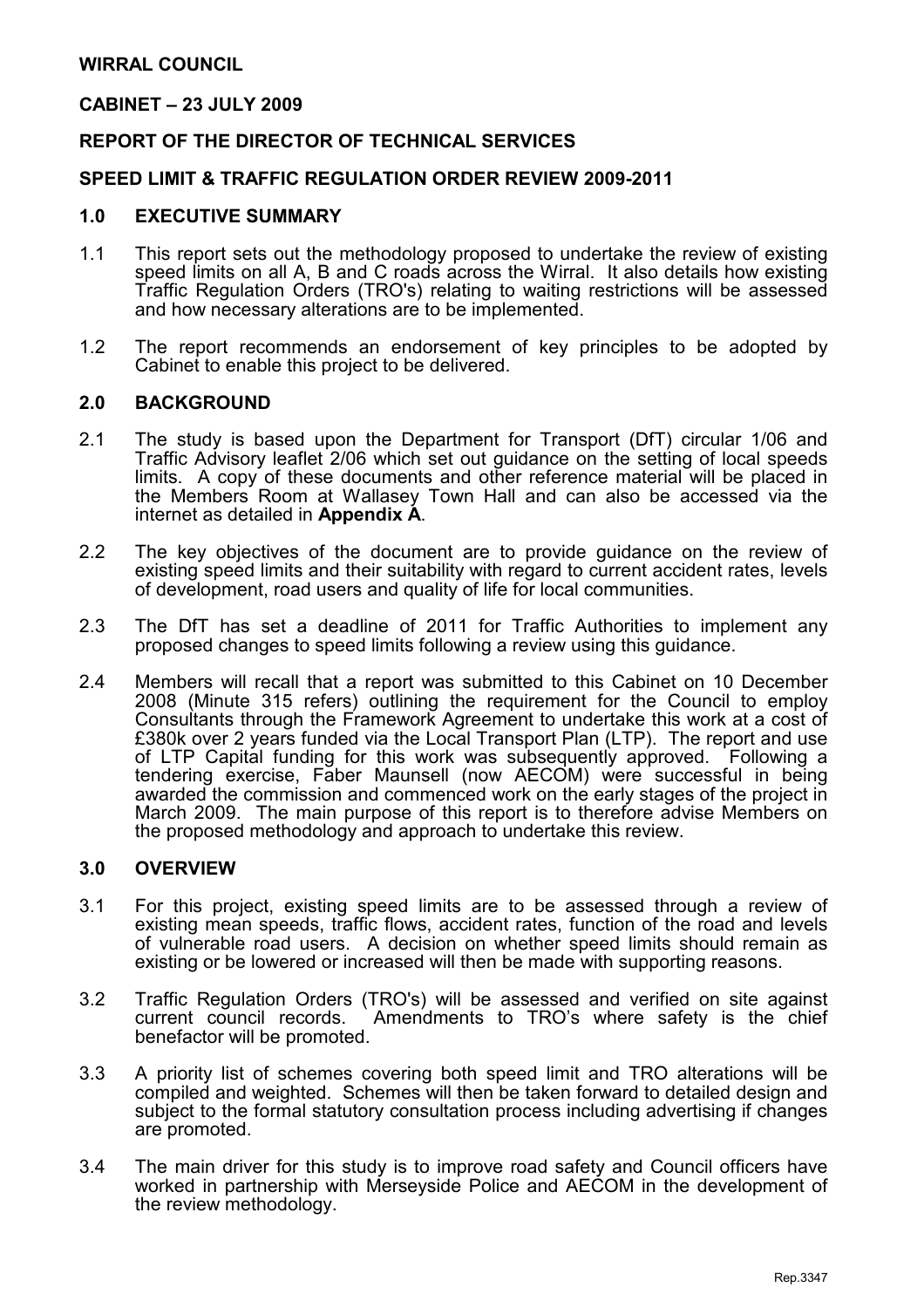#### CABINET – 23 JULY 2009

#### REPORT OF THE DIRECTOR OF TECHNICAL SERVICES

#### SPEED LIMIT & TRAFFIC REGULATION ORDER REVIEW 2009-2011

#### 1.0 EXECUTIVE SUMMARY

- 1.1 This report sets out the methodology proposed to undertake the review of existing speed limits on all A, B and C roads across the Wirral. It also details how existing Traffic Regulation Orders (TRO's) relating to waiting restrictions will be assessed and how necessary alterations are to be implemented.
- 1.2 The report recommends an endorsement of key principles to be adopted by Cabinet to enable this project to be delivered.

#### 2.0 BACKGROUND

- 2.1 The study is based upon the Department for Transport (DfT) circular 1/06 and Traffic Advisory leaflet 2/06 which set out guidance on the setting of local speeds limits. A copy of these documents and other reference material will be placed in the Members Room at Wallasey Town Hall and can also be accessed via the internet as detailed in Appendix A.
- 2.2 The key objectives of the document are to provide guidance on the review of existing speed limits and their suitability with regard to current accident rates, levels of development, road users and quality of life for local communities.
- 2.3 The DfT has set a deadline of 2011 for Traffic Authorities to implement any proposed changes to speed limits following a review using this guidance.
- 2.4 Members will recall that a report was submitted to this Cabinet on 10 December 2008 (Minute 315 refers) outlining the requirement for the Council to employ Consultants through the Framework Agreement to undertake this work at a cost of £380k over 2 years funded via the Local Transport Plan (LTP). The report and use of LTP Capital funding for this work was subsequently approved. Following a tendering exercise, Faber Maunsell (now AECOM) were successful in being awarded the commission and commenced work on the early stages of the project in March 2009. The main purpose of this report is to therefore advise Members on the proposed methodology and approach to undertake this review.

#### 3.0 OVERVIEW

- 3.1 For this project, existing speed limits are to be assessed through a review of existing mean speeds, traffic flows, accident rates, function of the road and levels of vulnerable road users. A decision on whether speed limits should remain as existing or be lowered or increased will then be made with supporting reasons.
- 3.2 Traffic Regulation Orders (TRO's) will be assessed and verified on site against Amendments to TRO's where safety is the chief benefactor will be promoted.
- 3.3 A priority list of schemes covering both speed limit and TRO alterations will be compiled and weighted. Schemes will then be taken forward to detailed design and subject to the formal statutory consultation process including advertising if changes are promoted.
- 3.4 The main driver for this study is to improve road safety and Council officers have worked in partnership with Merseyside Police and AECOM in the development of the review methodology.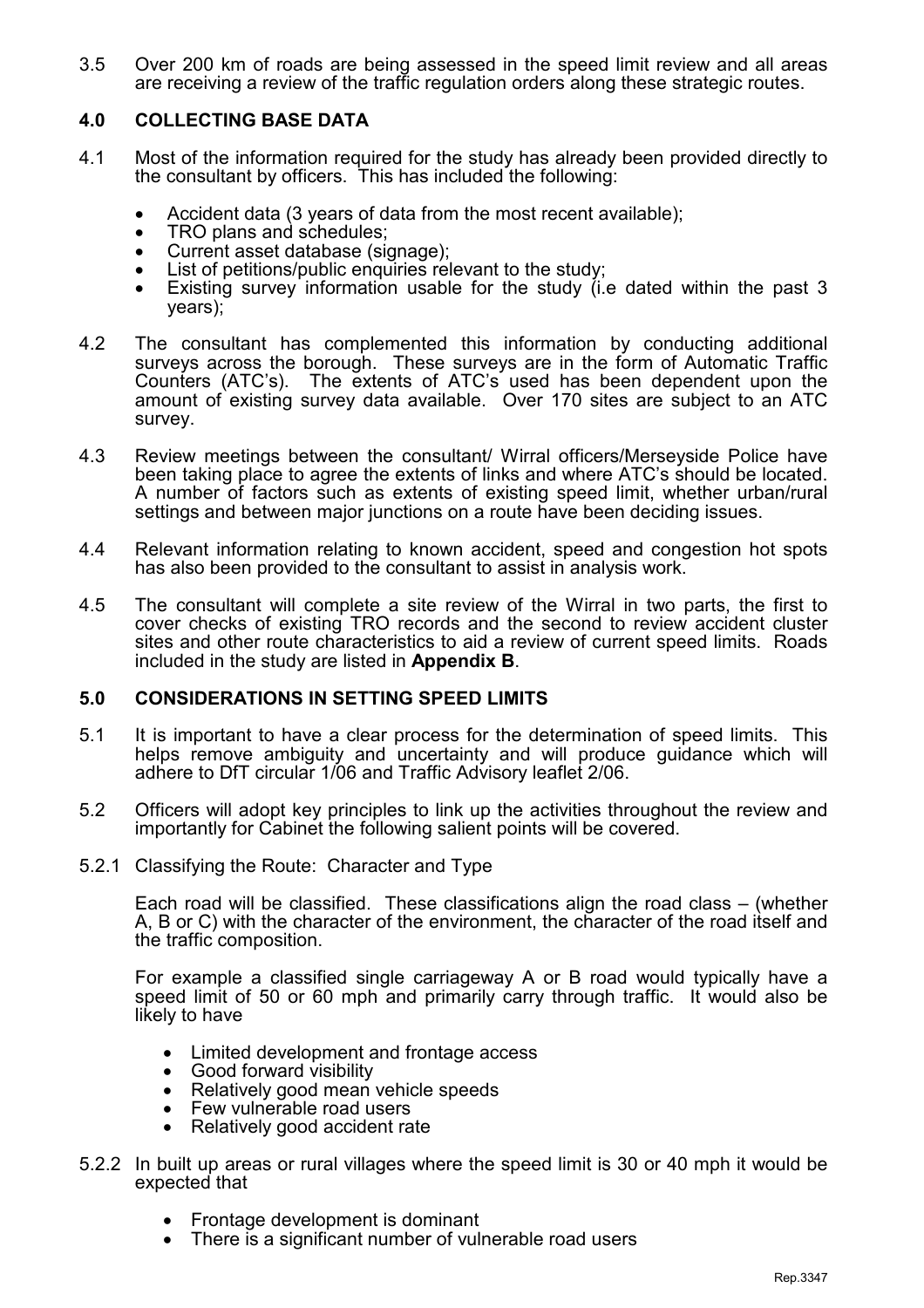3.5 Over 200 km of roads are being assessed in the speed limit review and all areas are receiving a review of the traffic regulation orders along these strategic routes.

## 4.0 COLLECTING BASE DATA

- 4.1 Most of the information required for the study has already been provided directly to the consultant by officers. This has included the following:
	- Accident data (3 years of data from the most recent available):
	- TRO plans and schedules;
	- Current asset database (signage);
	- List of petitions/public enquiries relevant to the study;
	- Existing survey information usable for the study (i.e dated within the past 3 years);
- 4.2 The consultant has complemented this information by conducting additional surveys across the borough. These surveys are in the form of Automatic Traffic Counters (ATC's). The extents of ATC's used has been dependent upon the amount of existing survey data available. Over 170 sites are subject to an ATC survey.
- 4.3 Review meetings between the consultant/ Wirral officers/Merseyside Police have been taking place to agree the extents of links and where ATC's should be located. A number of factors such as extents of existing speed limit, whether urban/rural settings and between major junctions on a route have been deciding issues.
- 4.4 Relevant information relating to known accident, speed and congestion hot spots has also been provided to the consultant to assist in analysis work.
- 4.5 The consultant will complete a site review of the Wirral in two parts, the first to cover checks of existing TRO records and the second to review accident cluster sites and other route characteristics to aid a review of current speed limits. Roads included in the study are listed in Appendix B.

#### 5.0 CONSIDERATIONS IN SETTING SPEED LIMITS

- 5.1 It is important to have a clear process for the determination of speed limits. This helps remove ambiguity and uncertainty and will produce guidance which will adhere to DfT circular 1/06 and Traffic Advisory leaflet 2/06.
- 5.2 Officers will adopt key principles to link up the activities throughout the review and importantly for Cabinet the following salient points will be covered.
- 5.2.1 Classifying the Route: Character and Type

 Each road will be classified. These classifications align the road class – (whether A, B or C) with the character of the environment, the character of the road itself and the traffic composition.

 For example a classified single carriageway A or B road would typically have a speed limit of 50 or 60 mph and primarily carry through traffic. It would also be likely to have

- Limited development and frontage access
- Good forward visibility
- Relatively good mean vehicle speeds
- Few vulnerable road users
- Relatively good accident rate
- 5.2.2 In built up areas or rural villages where the speed limit is 30 or 40 mph it would be expected that
	- Frontage development is dominant
	- There is a significant number of vulnerable road users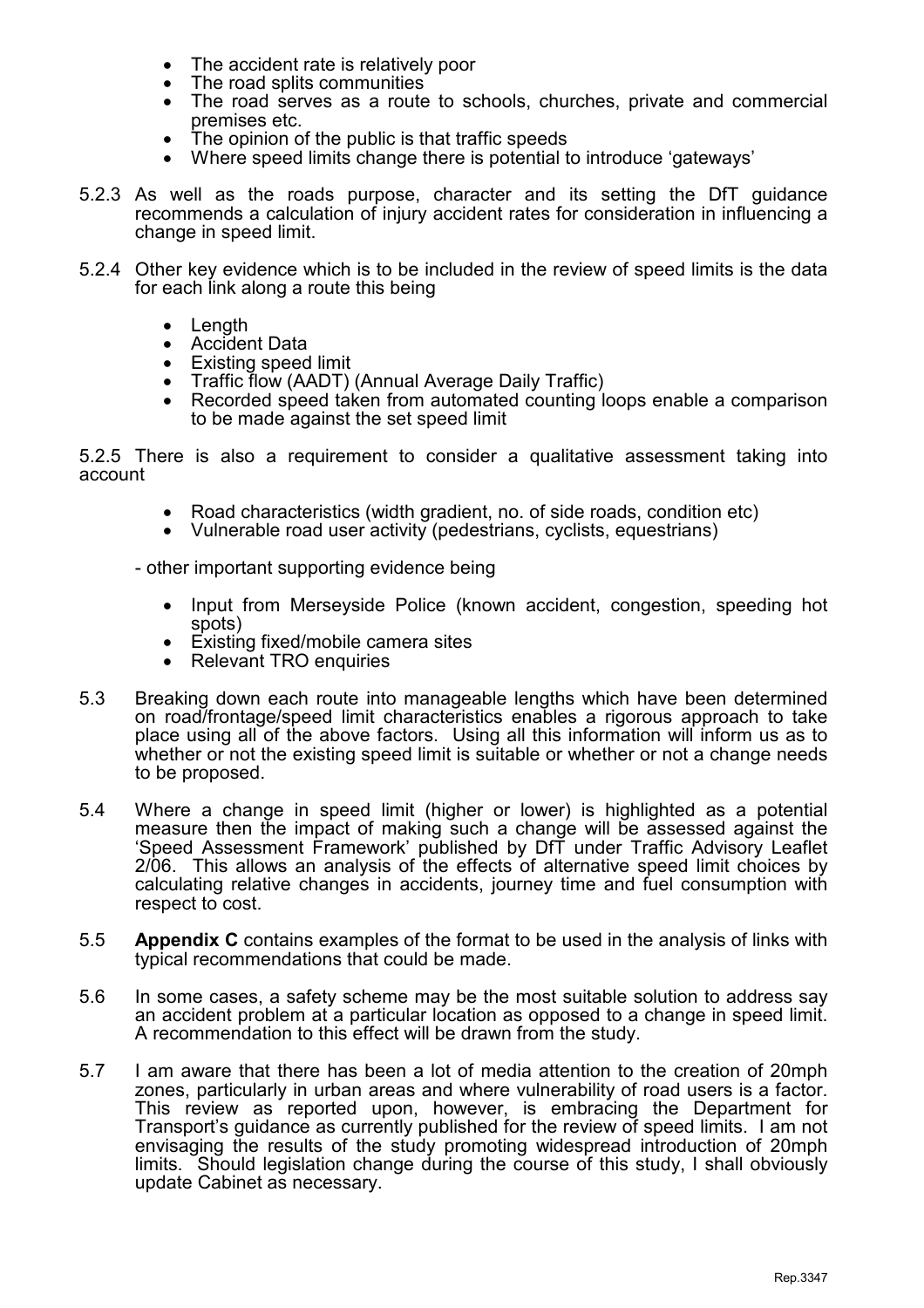- The accident rate is relatively poor
- The road splits communities
- The road serves as a route to schools, churches, private and commercial premises etc.
- The opinion of the public is that traffic speeds
- Where speed limits change there is potential to introduce 'gateways'
- 5.2.3 As well as the roads purpose, character and its setting the DfT guidance recommends a calculation of injury accident rates for consideration in influencing a change in speed limit.
- 5.2.4 Other key evidence which is to be included in the review of speed limits is the data for each link along a route this being
	- Length
	- Accident Data
	- Existing speed limit
	- Traffic flow (AADT) (Annual Average Daily Traffic)
	- Recorded speed taken from automated counting loops enable a comparison to be made against the set speed limit

5.2.5 There is also a requirement to consider a qualitative assessment taking into account

- Road characteristics (width gradient, no. of side roads, condition etc)
- Vulnerable road user activity (pedestrians, cyclists, equestrians)

- other important supporting evidence being

- Input from Merseyside Police (known accident, congestion, speeding hot spots)
- Existing fixed/mobile camera sites
- Relevant TRO enquiries
- 5.3 Breaking down each route into manageable lengths which have been determined on road/frontage/speed limit characteristics enables a rigorous approach to take place using all of the above factors. Using all this information will inform us as to whether or not the existing speed limit is suitable or whether or not a change needs to be proposed.
- 5.4 Where a change in speed limit (higher or lower) is highlighted as a potential measure then the impact of making such a change will be assessed against the 'Speed Assessment Framework' published by DfT under Traffic Advisory Leaflet 2/06. This allows an analysis of the effects of alternative speed limit choices by calculating relative changes in accidents, journey time and fuel consumption with respect to cost.
- 5.5 Appendix C contains examples of the format to be used in the analysis of links with typical recommendations that could be made.
- 5.6 In some cases, a safety scheme may be the most suitable solution to address say an accident problem at a particular location as opposed to a change in speed limit. A recommendation to this effect will be drawn from the study.
- 5.7 I am aware that there has been a lot of media attention to the creation of 20mph zones, particularly in urban areas and where vulnerability of road users is a factor. This review as reported upon, however, is embracing the Department for Transport's guidance as currently published for the review of speed limits. I am not envisaging the results of the study promoting widespread introduction of 20mph limits. Should legislation change during the course of this study, I shall obviously update Cabinet as necessary.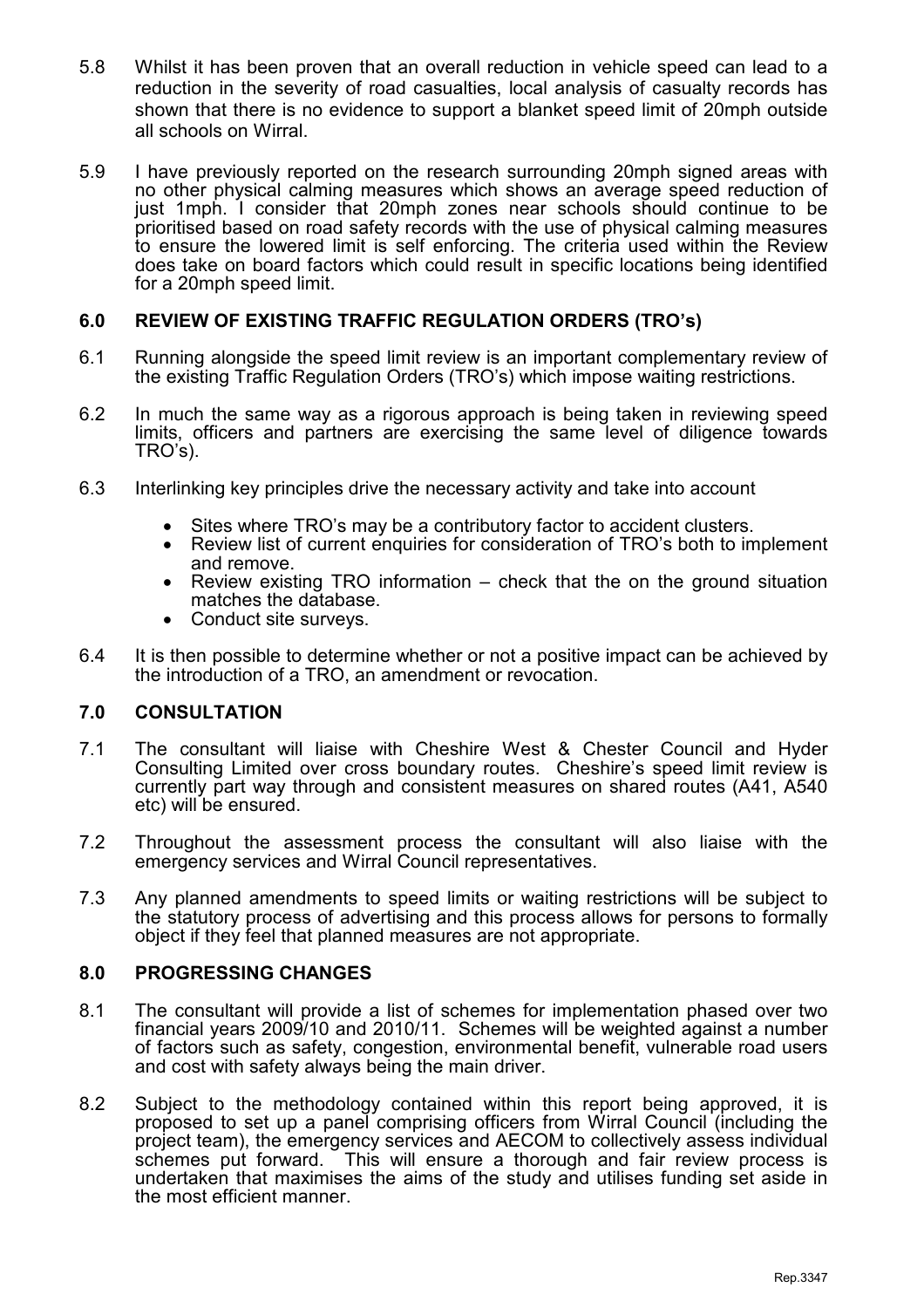- 5.8 Whilst it has been proven that an overall reduction in vehicle speed can lead to a reduction in the severity of road casualties, local analysis of casualty records has shown that there is no evidence to support a blanket speed limit of 20mph outside all schools on Wirral.
- 5.9 I have previously reported on the research surrounding 20mph signed areas with no other physical calming measures which shows an average speed reduction of just 1mph. I consider that 20mph zones near schools should continue to be prioritised based on road safety records with the use of physical calming measures to ensure the lowered limit is self enforcing. The criteria used within the Review does take on board factors which could result in specific locations being identified for a 20mph speed limit.

## 6.0 REVIEW OF EXISTING TRAFFIC REGULATION ORDERS (TRO's)

- 6.1 Running alongside the speed limit review is an important complementary review of the existing Traffic Regulation Orders (TRO's) which impose waiting restrictions.
- 6.2 In much the same way as a rigorous approach is being taken in reviewing speed limits, officers and partners are exercising the same level of diligence towards TRO's).
- 6.3 Interlinking key principles drive the necessary activity and take into account
	- Sites where TRO's may be a contributory factor to accident clusters.
	- Review list of current enquiries for consideration of TRO's both to implement and remove.
	- Review existing TRO information check that the on the ground situation matches the database.
	- Conduct site surveys.
- 6.4 It is then possible to determine whether or not a positive impact can be achieved by the introduction of a TRO, an amendment or revocation.

#### 7.0 CONSULTATION

- 7.1 The consultant will liaise with Cheshire West & Chester Council and Hyder Consulting Limited over cross boundary routes. Cheshire's speed limit review is currently part way through and consistent measures on shared routes (A41, A540 etc) will be ensured.
- 7.2 Throughout the assessment process the consultant will also liaise with the emergency services and Wirral Council representatives.
- 7.3 Any planned amendments to speed limits or waiting restrictions will be subject to the statutory process of advertising and this process allows for persons to formally object if they feel that planned measures are not appropriate.

#### 8.0 PROGRESSING CHANGES

- 8.1 The consultant will provide a list of schemes for implementation phased over two financial years 2009/10 and 2010/11. Schemes will be weighted against a number of factors such as safety, congestion, environmental benefit, vulnerable road users and cost with safety always being the main driver.
- 8.2 Subject to the methodology contained within this report being approved, it is proposed to set up a panel comprising officers from Wirral Council (including the project team), the emergency services and AECOM to collectively assess individual schemes put forward. This will ensure a thorough and fair review process is undertaken that maximises the aims of the study and utilises funding set aside in the most efficient manner.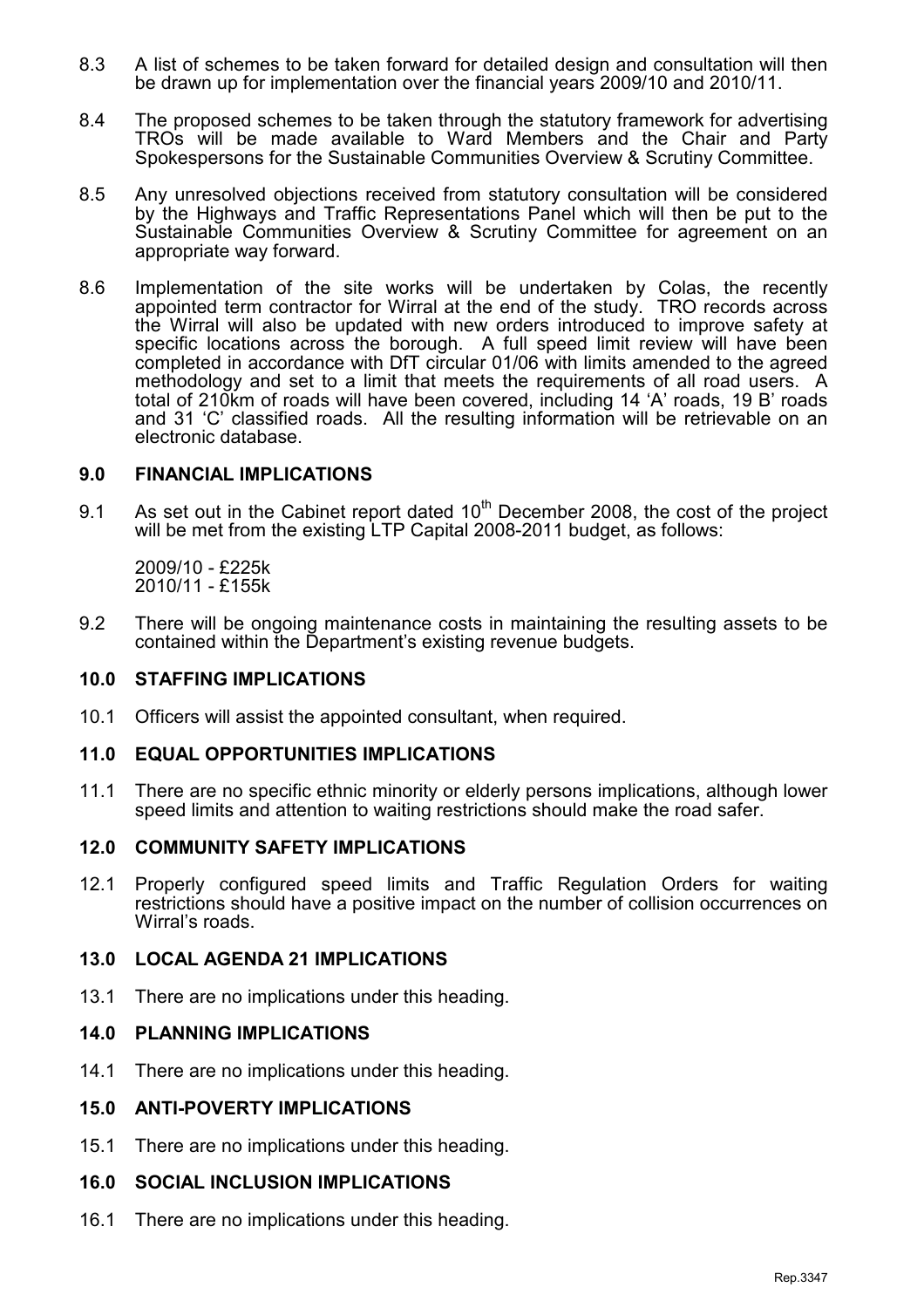- 8.3 A list of schemes to be taken forward for detailed design and consultation will then be drawn up for implementation over the financial years 2009/10 and 2010/11.
- 8.4 The proposed schemes to be taken through the statutory framework for advertising TROs will be made available to Ward Members and the Chair and Party Spokespersons for the Sustainable Communities Overview & Scrutiny Committee.
- 8.5 Any unresolved objections received from statutory consultation will be considered by the Highways and Traffic Representations Panel which will then be put to the Sustainable Communities Overview & Scrutiny Committee for agreement on an appropriate way forward.
- 8.6 Implementation of the site works will be undertaken by Colas, the recently appointed term contractor for Wirral at the end of the study. TRO records across the Wirral will also be updated with new orders introduced to improve safety at specific locations across the borough. A full speed limit review will have been completed in accordance with DfT circular 01/06 with limits amended to the agreed methodology and set to a limit that meets the requirements of all road users. A total of 210km of roads will have been covered, including 14 'A' roads, 19 B' roads and 31 'C' classified roads. All the resulting information will be retrievable on an electronic database.

### 9.0 FINANCIAL IMPLICATIONS

9.1 As set out in the Cabinet report dated  $10^{th}$  December 2008, the cost of the project will be met from the existing LTP Capital 2008-2011 budget, as follows:

 2009/10 - £225k 2010/11 - £155k

9.2 There will be ongoing maintenance costs in maintaining the resulting assets to be contained within the Department's existing revenue budgets.

#### 10.0 STAFFING IMPLICATIONS

10.1 Officers will assist the appointed consultant, when required.

#### 11.0 EQUAL OPPORTUNITIES IMPLICATIONS

11.1 There are no specific ethnic minority or elderly persons implications, although lower speed limits and attention to waiting restrictions should make the road safer.

#### 12.0 COMMUNITY SAFETY IMPLICATIONS

12.1 Properly configured speed limits and Traffic Regulation Orders for waiting restrictions should have a positive impact on the number of collision occurrences on Wirral's roads.

#### 13.0 LOCAL AGENDA 21 IMPLICATIONS

13.1 There are no implications under this heading.

## 14.0 PLANNING IMPLICATIONS

14.1 There are no implications under this heading.

#### 15.0 ANTI-POVERTY IMPLICATIONS

15.1 There are no implications under this heading.

#### 16.0 SOCIAL INCLUSION IMPLICATIONS

16.1 There are no implications under this heading.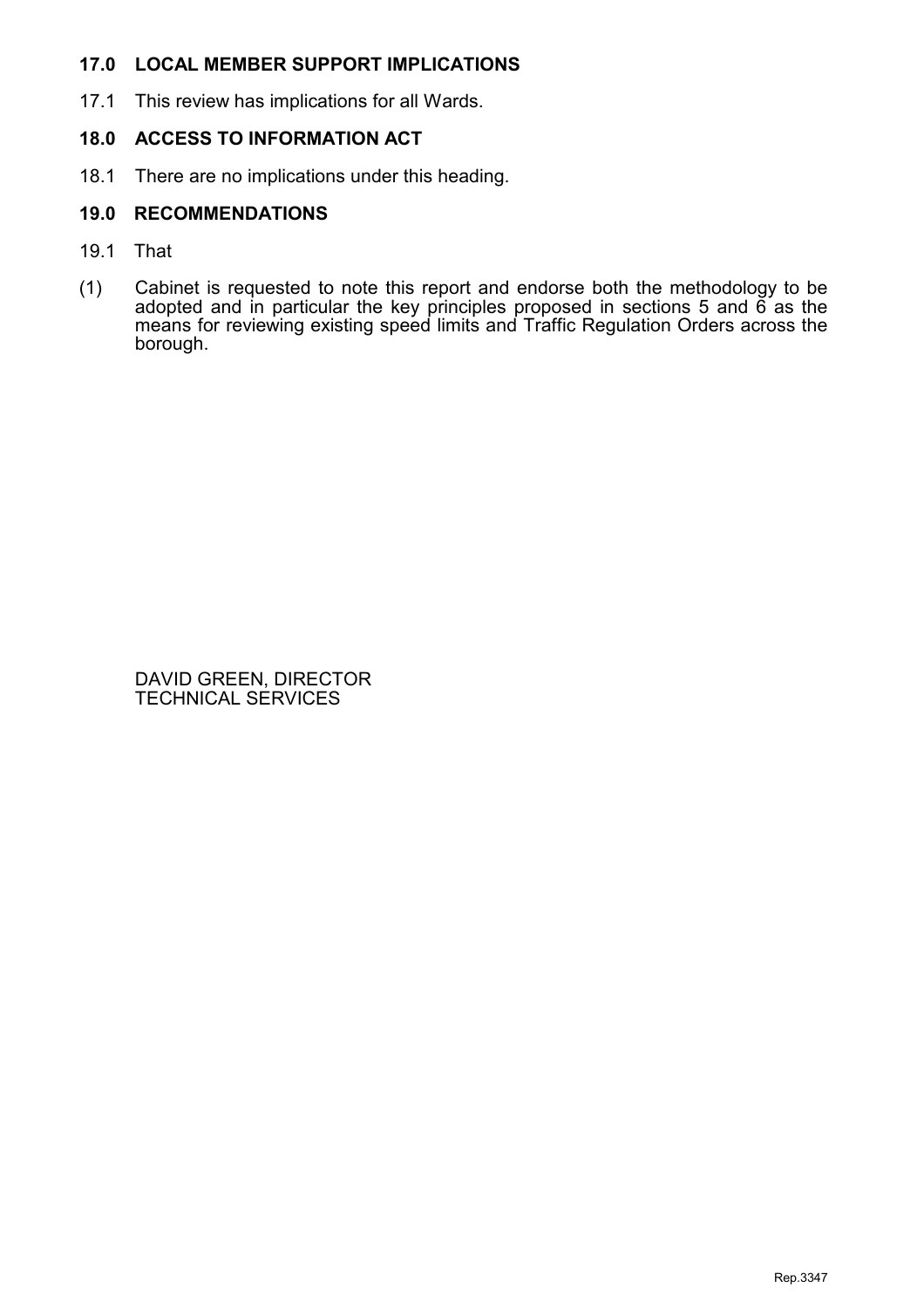## 17.0 LOCAL MEMBER SUPPORT IMPLICATIONS

17.1 This review has implications for all Wards.

## 18.0 ACCESS TO INFORMATION ACT

18.1 There are no implications under this heading.

## 19.0 RECOMMENDATIONS

- 19.1 That
- (1) Cabinet is requested to note this report and endorse both the methodology to be adopted and in particular the key principles proposed in sections 5 and 6 as the means for reviewing existing speed limits and Traffic Regulation Orders across the borough.

 DAVID GREEN, DIRECTOR TECHNICAL SERVICES